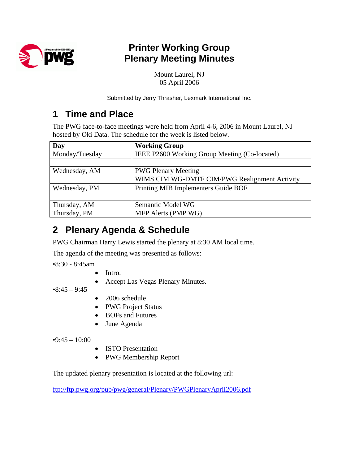

# **Printer Working Group Plenary Meeting Minutes**

Mount Laurel, NJ 05 April 2006

Submitted by Jerry Thrasher, Lexmark International Inc.

### **1 Time and Place**

The PWG face-to-face meetings were held from April 4-6, 2006 in Mount Laurel, NJ hosted by Oki Data. The schedule for the week is listed below.

| Day            | <b>Working Group</b>                          |
|----------------|-----------------------------------------------|
| Monday/Tuesday | IEEE P2600 Working Group Meeting (Co-located) |
|                |                                               |
| Wednesday, AM  | <b>PWG Plenary Meeting</b>                    |
|                | WIMS CIM WG-DMTF CIM/PWG Realignment Activity |
| Wednesday, PM  | Printing MIB Implementers Guide BOF           |
|                |                                               |
| Thursday, AM   | Semantic Model WG                             |
| Thursday, PM   | MFP Alerts (PMP WG)                           |

## **2 Plenary Agenda & Schedule**

PWG Chairman Harry Lewis started the plenary at 8:30 AM local time.

The agenda of the meeting was presented as follows:

•8:30 - 8:45am

- Intro.
- Accept Las Vegas Plenary Minutes.

 $•8:45 - 9:45$ 

- 2006 schedule
- PWG Project Status
- BOFs and Futures
- June Agenda

 $•9:45 - 10:00$ 

- ISTO Presentation
- PWG Membership Report

The updated plenary presentation is located at the following url:

<ftp://ftp.pwg.org/pub/pwg/general/Plenary/PWGPlenaryApril2006.pdf>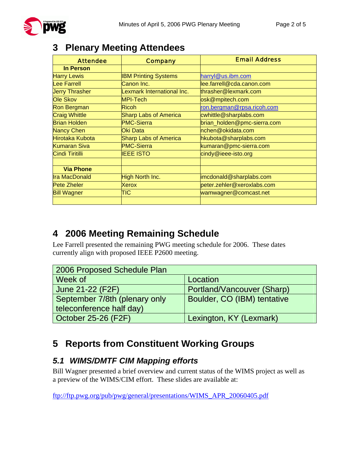| <b>Attendee</b>       | <b>Company</b>               | <b>Email Address</b>        |
|-----------------------|------------------------------|-----------------------------|
| <b>In Person</b>      |                              |                             |
| <b>Harry Lewis</b>    | <b>IBM Printing Systems</b>  | harryl@us.ibm.com           |
| <b>Lee Farrell</b>    | Canon Inc.                   | lee.farrell@cda.canon.com   |
| <b>Jerry Thrasher</b> | exmark International Inc.    | thrasher@lexmark.com        |
| <b>Ole Skov</b>       | MPI-Tech                     | osk@mpitech.com             |
| <b>Ron Bergman</b>    | Ricoh                        | ron.bergman@rpsa.ricoh.com  |
| <b>Craig Whittle</b>  | <b>Sharp Labs of America</b> | cwhittle@sharplabs.com      |
| <b>Brian Holden</b>   | <b>PMC-Sierra</b>            | brian_holden@pmc-sierra.com |
| <b>Nancy Chen</b>     | Oki Data                     | nchen@okidata.com           |
| Hirotaka Kubota       | <b>Sharp Labs of America</b> | hkubota@sharplabs.com       |
| <b>Kumaran Siva</b>   | <b>PMC-Sierra</b>            | kumaran@pmc-sierra.com      |
| Cindi Tiritilli       | <b>IEEE ISTO</b>             | cindy@ieee-isto.org         |
|                       |                              |                             |
| <b>Via Phone</b>      |                              |                             |
| <b>Ira MacDonald</b>  | High North Inc.              | imcdonald@sharplabs.com     |
| <b>Pete Zheler</b>    | <b>Xerox</b>                 | peter.zehler@xeroxlabs.com  |
| <b>Bill Wagner</b>    | TIC                          | wamwagner@comcast.net       |
|                       |                              |                             |

### **3 Plenary Meeting Attendees**

### **4 2006 Meeting Remaining Schedule**

Lee Farrell presented the remaining PWG meeting schedule for 2006. These dates currently align with proposed IEEE P2600 meeting.

| 2006 Proposed Schedule Plan   |                             |  |  |
|-------------------------------|-----------------------------|--|--|
| Week of                       | Location                    |  |  |
| June 21-22 (F2F)              | Portland/Vancouver (Sharp)  |  |  |
| September 7/8th (plenary only | Boulder, CO (IBM) tentative |  |  |
| teleconference half day)      |                             |  |  |
| October 25-26 (F2F)           | Lexington, KY (Lexmark)     |  |  |

## **5 Reports from Constituent Working Groups**

### *5.1 WIMS/DMTF CIM Mapping efforts*

Bill Wagner presented a brief overview and current status of the WIMS project as well as a preview of the WIMS/CIM effort. These slides are available at:

ftp://ftp.pwg.org/pub/pwg/general/presentations/WIMS\_APR\_20060405.pdf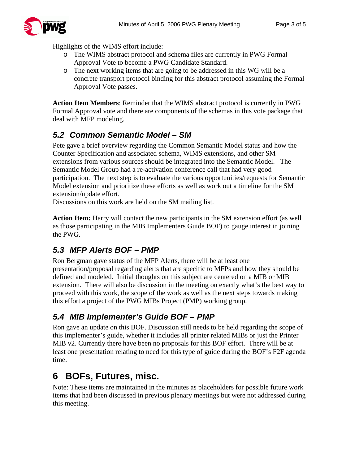

Highlights of the WIMS effort include:

- o The WIMS abstract protocol and schema files are currently in PWG Formal Approval Vote to become a PWG Candidate Standard.
- o The next working items that are going to be addressed in this WG will be a concrete transport protocol binding for this abstract protocol assuming the Formal Approval Vote passes.

**Action Item Members**: Reminder that the WIMS abstract protocol is currently in PWG Formal Approval vote and there are components of the schemas in this vote package that deal with MFP modeling.

### *5.2 Common Semantic Model – SM*

Pete gave a brief overview regarding the Common Semantic Model status and how the Counter Specification and associated schema, WIMS extensions, and other SM extensions from various sources should be integrated into the Semantic Model. The Semantic Model Group had a re-activation conference call that had very good participation. The next step is to evaluate the various opportunities/requests for Semantic Model extension and prioritize these efforts as well as work out a timeline for the SM extension/update effort.

Discussions on this work are held on the SM mailing list.

**Action Item:** Harry will contact the new participants in the SM extension effort (as well as those participating in the MIB Implementers Guide BOF) to gauge interest in joining the PWG.

### *5.3 MFP Alerts BOF – PMP*

Ron Bergman gave status of the MFP Alerts, there will be at least one presentation/proposal regarding alerts that are specific to MFPs and how they should be defined and modeled. Initial thoughts on this subject are centered on a MIB or MIB extension. There will also be discussion in the meeting on exactly what's the best way to proceed with this work, the scope of the work as well as the next steps towards making this effort a project of the PWG MIBs Project (PMP) working group.

#### *5.4 MIB Implementer's Guide BOF – PMP*

Ron gave an update on this BOF. Discussion still needs to be held regarding the scope of this implementer's guide, whether it includes all printer related MIBs or just the Printer MIB v2. Currently there have been no proposals for this BOF effort. There will be at least one presentation relating to need for this type of guide during the BOF's F2F agenda time.

# **6 BOFs, Futures, misc.**

Note: These items are maintained in the minutes as placeholders for possible future work items that had been discussed in previous plenary meetings but were not addressed during this meeting.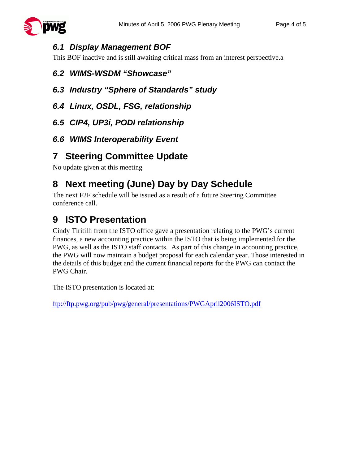

#### *6.1 Display Management BOF*

This BOF inactive and is still awaiting critical mass from an interest perspective.a

#### *6.2 WIMS-WSDM "Showcase"*

- *6.3 Industry "Sphere of Standards" study*
- *6.4 Linux, OSDL, FSG, relationship*
- *6.5 CIP4, UP3i, PODI relationship*
- *6.6 WIMS Interoperability Event*

### **7 Steering Committee Update**

No update given at this meeting

# **8 Next meeting (June) Day by Day Schedule**

The next F2F schedule will be issued as a result of a future Steering Committee conference call.

# **9 ISTO Presentation**

Cindy Tiritilli from the ISTO office gave a presentation relating to the PWG's current finances, a new accounting practice within the ISTO that is being implemented for the PWG, as well as the ISTO staff contacts. As part of this change in accounting practice, the PWG will now maintain a budget proposal for each calendar year. Those interested in the details of this budget and the current financial reports for the PWG can contact the PWG Chair.

The ISTO presentation is located at:

ftp://ftp.pwg.org/pub/pwg/general/presentations/PWGApril2006ISTO.pdf